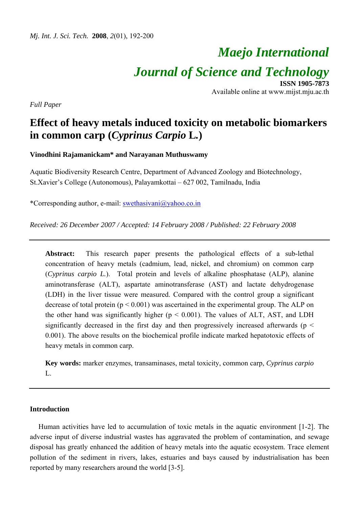# *Maejo International Journal of Science and Technology* **ISSN 1905-7873**

Available online at www.mijst.mju.ac.th

*Full Paper* 

# **Effect of heavy metals induced toxicity on metabolic biomarkers in common carp (***Cyprinus Carpio* **L***.***)**

**Vinodhini Rajamanickam\* and Narayanan Muthuswamy** 

Aquatic Biodiversity Research Centre, Department of Advanced Zoology and Biotechnology, St.Xavier's College (Autonomous), Palayamkottai – 627 002, Tamilnadu, India

\*Corresponding author, e-mail: swethasivani@yahoo.co.in

*Received: 26 December 2007 / Accepted: 14 February 2008 / Published: 22 February 2008* 

**Abstract:** This research paper presents the pathological effects of a sub-lethal concentration of heavy metals (cadmium, lead, nickel, and chromium) on common carp (*Cyprinus carpio L.*). Total protein and levels of alkaline phosphatase (ALP), alanine aminotransferase (ALT), aspartate aminotransferase (AST) and lactate dehydrogenase (LDH) in the liver tissue were measured. Compared with the control group a significant decrease of total protein  $(p < 0.001)$  was ascertained in the experimental group. The ALP on the other hand was significantly higher  $(p < 0.001)$ . The values of ALT, AST, and LDH significantly decreased in the first day and then progressively increased afterwards ( $p <$ 0.001). The above results on the biochemical profile indicate marked hepatotoxic effects of heavy metals in common carp.

**Key words:** marker enzymes, transaminases, metal toxicity, common carp, *Cyprinus carpio*   $\mathbf{L}$ 

# **Introduction**

Human activities have led to accumulation of toxic metals in the aquatic environment [1-2]. The adverse input of diverse industrial wastes has aggravated the problem of contamination, and sewage disposal has greatly enhanced the addition of heavy metals into the aquatic ecosystem. Trace element pollution of the sediment in rivers, lakes, estuaries and bays caused by industrialisation has been reported by many researchers around the world [3-5].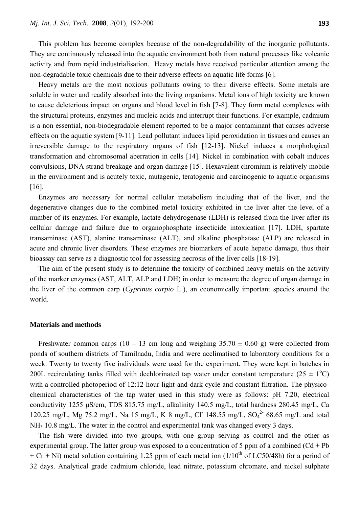This problem has become complex because of the non-degradability of the inorganic pollutants. They are continuously released into the aquatic environment both from natural processes like volcanic activity and from rapid industrialisation. Heavy metals have received particular attention among the non-degradable toxic chemicals due to their adverse effects on aquatic life forms [6].

Heavy metals are the most noxious pollutants owing to their diverse effects. Some metals are soluble in water and readily absorbed into the living organisms. Metal ions of high toxicity are known to cause deleterious impact on organs and blood level in fish [7-8]. They form metal complexes with the structural proteins, enzymes and nucleic acids and interrupt their functions. For example, cadmium is a non essential, non-biodegradable element reported to be a major contaminant that causes adverse effects on the aquatic system [9-11]. Lead pollutant induces lipid peroxidation in tissues and causes an irreversible damage to the respiratory organs of fish [12-13]. Nickel induces a morphological transformation and chromosomal aberration in cells [14]. Nickel in combination with cobalt induces convulsions, DNA strand breakage and organ damage [15]. Hexavalent chromium is relatively mobile in the environment and is acutely toxic, mutagenic, teratogenic and carcinogenic to aquatic organisms [16].

Enzymes are necessary for normal cellular metabolism including that of the liver, and the degenerative changes due to the combined metal toxicity exhibited in the liver alter the level of a number of its enzymes. For example, lactate dehydrogenase (LDH) is released from the liver after its cellular damage and failure due to organophosphate insecticide intoxication [17]. LDH, spartate transaminase (AST), alanine transaminase (ALT), and alkaline phosphatase (ALP) are released in acute and chronic liver disorders. These enzymes are biomarkers of acute hepatic damage, thus their bioassay can serve as a diagnostic tool for assessing necrosis of the liver cells [18-19].

The aim of the present study is to determine the toxicity of combined heavy metals on the activity of the marker enzymes (AST, ALT, ALP and LDH) in order to measure the degree of organ damage in the liver of the common carp (*Cyprinus carpio* L.), an economically important species around the world.

# **Materials and methods**

Freshwater common carps (10 – 13 cm long and weighing  $35.70 \pm 0.60$  g) were collected from ponds of southern districts of Tamilnadu, India and were acclimatised to laboratory conditions for a week. Twenty to twenty five individuals were used for the experiment. They were kept in batches in 200L recirculating tanks filled with dechlorinated tap water under constant temperature ( $25 \pm 1$ °C) with a controlled photoperiod of 12:12-hour light-and-dark cycle and constant filtration. The physicochemical characteristics of the tap water used in this study were as follows: pH 7.20, electrical conductivity 1255 μS/cm, TDS 815.75 mg/L, alkalinity 140.5 mg/L, total hardness 280.45 mg/L, Ca 120.25 mg/L, Mg 75.2 mg/L, Na 15 mg/L, K 8 mg/L, Cl<sup>-</sup> 148.55 mg/L, SO<sub>4</sub><sup>2-</sup> 68.65 mg/L and total  $NH<sub>3</sub>$  10.8 mg/L. The water in the control and experimental tank was changed every 3 days.

The fish were divided into two groups, with one group serving as control and the other as experimental group. The latter group was exposed to a concentration of 5 ppm of a combined  $(Cd + Pb)$ + Cr + Ni) metal solution containing 1.25 ppm of each metal ion  $(1/10<sup>th</sup>$  of LC50/48h) for a period of 32 days. Analytical grade cadmium chloride, lead nitrate, potassium chromate, and nickel sulphate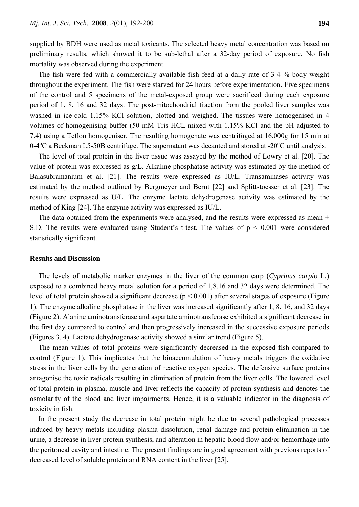supplied by BDH were used as metal toxicants. The selected heavy metal concentration was based on preliminary results, which showed it to be sub-lethal after a 32-day period of exposure. No fish mortality was observed during the experiment.

The fish were fed with a commercially available fish feed at a daily rate of 3-4 % body weight throughout the experiment. The fish were starved for 24 hours before experimentation. Five specimens of the control and 5 specimens of the metal-exposed group were sacrificed during each exposure period of 1, 8, 16 and 32 days. The post-mitochondrial fraction from the pooled liver samples was washed in ice-cold 1.15% KCl solution, blotted and weighed. The tissues were homogenised in 4 volumes of homogenising buffer (50 mM Tris-HCL mixed with 1.15% KCl and the pH adjusted to 7.4) using a Teflon homogeniser. The resulting homogenate was centrifuged at 16,000g for 15 min at 0-4<sup>o</sup>C a Beckman L5-50B centrifuge. The supernatant was decanted and stored at -20<sup>o</sup>C until analysis.

The level of total protein in the liver tissue was assayed by the method of Lowry et al. [20]. The value of protein was expressed as g/L. Alkaline phosphatase activity was estimated by the method of Balasubramanium et al. [21]. The results were expressed as IU/L. Transaminases activity was estimated by the method outlined by Bergmeyer and Bernt [22] and Splittstoesser et al. [23]. The results were expressed as U/L. The enzyme lactate dehydrogenase activity was estimated by the method of King [24]. The enzyme activity was expressed as IU/L.

The data obtained from the experiments were analysed, and the results were expressed as mean  $\pm$ S.D. The results were evaluated using Student's t-test. The values of  $p \le 0.001$  were considered statistically significant.

#### **Results and Discussion**

The levels of metabolic marker enzymes in the liver of the common carp (*Cyprinus carpio* L*.*) exposed to a combined heavy metal solution for a period of 1,8,16 and 32 days were determined. The level of total protein showed a significant decrease ( $p < 0.001$ ) after several stages of exposure (Figure 1). The enzyme alkaline phosphatase in the liver was increased significantly after 1, 8, 16, and 32 days (Figure 2). Alanine aminotransferase and aspartate aminotransferase exhibited a significant decrease in the first day compared to control and then progressively increased in the successive exposure periods (Figures 3, 4). Lactate dehydrogenase activity showed a similar trend (Figure 5).

The mean values of total proteins were significantly decreased in the exposed fish compared to control (Figure 1). This implicates that the bioaccumulation of heavy metals triggers the oxidative stress in the liver cells by the generation of reactive oxygen species. The defensive surface proteins antagonise the toxic radicals resulting in elimination of protein from the liver cells. The lowered level of total protein in plasma, muscle and liver reflects the capacity of protein synthesis and denotes the osmolarity of the blood and liver impairments. Hence, it is a valuable indicator in the diagnosis of toxicity in fish.

In the present study the decrease in total protein might be due to several pathological processes induced by heavy metals including plasma dissolution, renal damage and protein elimination in the urine, a decrease in liver protein synthesis, and alteration in hepatic blood flow and/or hemorrhage into the peritoneal cavity and intestine. The present findings are in good agreement with previous reports of decreased level of soluble protein and RNA content in the liver [25].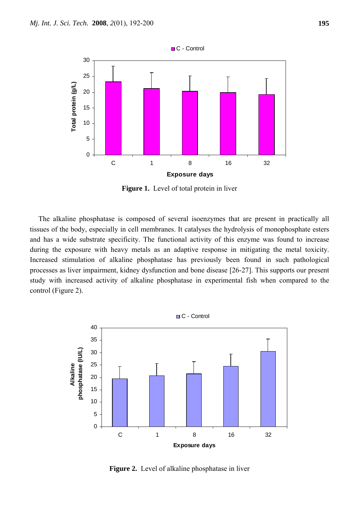

**Figure 1.** Level of total protein in liver

The alkaline phosphatase is composed of several isoenzymes that are present in practically all tissues of the body, especially in cell membranes. It catalyses the hydrolysis of monophosphate esters and has a wide substrate specificity. The functional activity of this enzyme was found to increase during the exposure with heavy metals as an adaptive response in mitigating the metal toxicity. Increased stimulation of alkaline phosphatase has previously been found in such pathological processes as liver impairment, kidney dysfunction and bone disease [26-27]. This supports our present study with increased activity of alkaline phosphatase in experimental fish when compared to the control (Figure 2).



**Figure 2.** Level of alkaline phosphatase in liver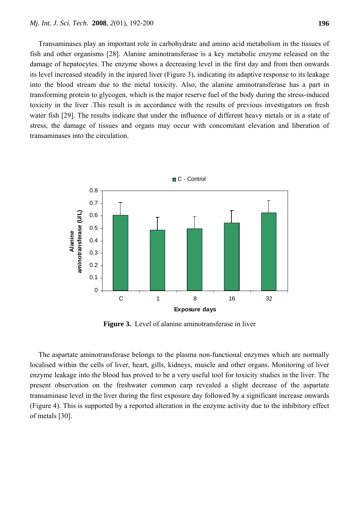Transaminases play an important role in carbohydrate and amino acid metabolism in the tissues of fish and other organisms [28]. Alanine aminotransferase is a key metabolic enzyme released on the damage of hepatocytes. The enzyme shows a decreasing level in the first day and from then onwards its level increased steadily in the injured liver (Figure 3), indicating its adaptive response to its leakage into the blood stream due to the metal toxicity. Also, the alanine aminotransferase has a part in transforming protein to glycogen, which is the major reserve fuel of the body during the stress-induced toxicity in the liver .This result is in accordance with the results of previous investigators on fresh water fish [29]. The results indicate that under the influence of different heavy metals or in a state of stress, the damage of tissues and organs may occur with concomitant elevation and liberation of transaminases into the circulation.



**Figure 3.** Level of alanine aminotransferase in liver

The aspartate aminotransferase belongs to the plasma non-functional enzymes which are normally localised within the cells of liver, heart, gills, kidneys, muscle and other organs. Monitoring of liver enzyme leakage into the blood has proved to be a very useful tool for toxicity studies in the liver. The present observation on the freshwater common carp revealed a slight decrease of the aspartate transaminase level in the liver during the first exposure day followed by a significant increase onwards (Figure 4). This is supported by a reported alteration in the enzyme activity due to the inhibitory effect of metals [30].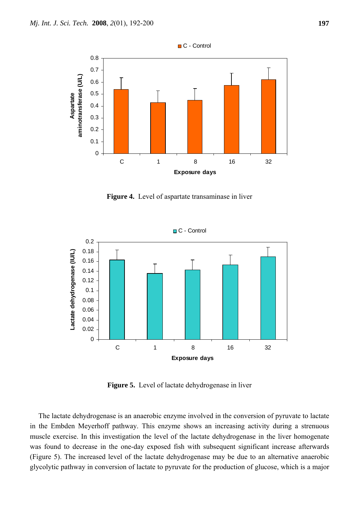

**Figure 4.** Level of aspartate transaminase in liver



**Figure 5.** Level of lactate dehydrogenase in liver

The lactate dehydrogenase is an anaerobic enzyme involved in the conversion of pyruvate to lactate in the Embden Meyerhoff pathway. This enzyme shows an increasing activity during a strenuous muscle exercise. In this investigation the level of the lactate dehydrogenase in the liver homogenate was found to decrease in the one-day exposed fish with subsequent significant increase afterwards (Figure 5). The increased level of the lactate dehydrogenase may be due to an alternative anaerobic glycolytic pathway in conversion of lactate to pyruvate for the production of glucose, which is a major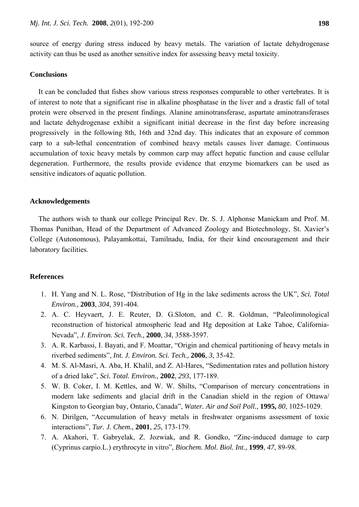source of energy during stress induced by heavy metals. The variation of lactate dehydrogenase activity can thus be used as another sensitive index for assessing heavy metal toxicity.

## **Conclusions**

It can be concluded that fishes show various stress responses comparable to other vertebrates. It is of interest to note that a significant rise in alkaline phosphatase in the liver and a drastic fall of total protein were observed in the present findings. Alanine aminotransferase, aspartate aminotransferases and lactate dehydrogenase exhibit a significant initial decrease in the first day before increasing progressively in the following 8th, 16th and 32nd day. This indicates that an exposure of common carp to a sub-lethal concentration of combined heavy metals causes liver damage. Continuous accumulation of toxic heavy metals by common carp may affect hepatic function and cause cellular degeneration. Furthermore, the results provide evidence that enzyme biomarkers can be used as sensitive indicators of aquatic pollution.

## **Acknowledgements**

The authors wish to thank our college Principal Rev. Dr. S. J. Alphonse Manickam and Prof. M. Thomas Punithan, Head of the Department of Advanced Zoology and Biotechnology, St. Xavier's College (Autonomous), Palayamkottai, Tamilnadu, India, for their kind encouragement and their laboratory facilities.

#### **References**

- 1. H. Yang and N. L. Rose, "Distribution of Hg in the lake sediments across the UK", *Sci. Total Environ.,* **2003**, *304*, 391-404.
- 2. A. C. Heyvaert, J. E. Reuter, D. G.Sloton, and C. R. Goldman, "Paleolimnological reconstruction of historical atmospheric lead and Hg deposition at Lake Tahoe, California-Nevada", *J. Environ. Sci. Tech.,* **2000**, *34*, 3588-3597.
- 3. A. R. Karbassi, I. Bayati, and F. Moattar, "Origin and chemical partitioning of heavy metals in riverbed sediments", *Int. J. Environ. Sci. Tech.,* **2006**, *3*, 35-42.
- 4. M. S. Al-Masri, A. Aba, H. Khalil, and Z. Al-Hares, "Sedimentation rates and pollution history of a dried lake", *Sci. Total. Environ.,* **2002**, *293*, 177-189.
- 5. W. B. Coker, I. M. Kettles, and W. W. Shilts, "Comparison of mercury concentrations in modern lake sediments and glacial drift in the Canadian shield in the region of Ottawa/ Kingston to Georgian bay, Ontario, Canada", *Water. Air and Soil Poll.,* **1995,** *80*, 1025-1029.
- 6. N. Dirilgen, "Accumulation of heavy metals in freshwater organisms assessment of toxic interactions", *Tur. J. Chem.,* **2001**, *25*, 173-179.
- 7. A. Akahori, T. Gabryelak, Z. Jozwiak, and R. Gondko, "Zinc-induced damage to carp (Cyprinus carpio.L.) erythrocyte in vitro", *Biochem. Mol. Biol. Int.,* **1999**, *47*, 89-98.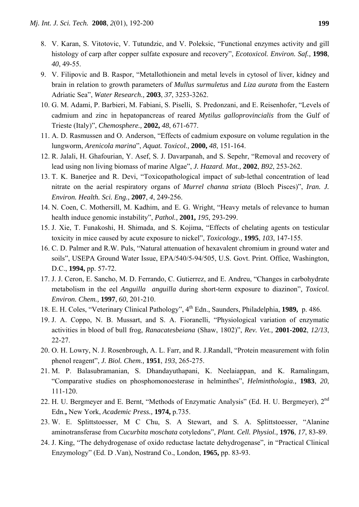- 8. V. Karan, S. Vitotovic, V. Tutundzic, and V. Poleksic, "Functional enzymes activity and gill histology of carp after copper sulfate exposure and recovery", *Ecotoxicol. Environ. Saf.,* **1998**, *40*, 49-55.
- 9. V. Filipovic and B. Raspor, "Metallothionein and metal levels in cytosol of liver, kidney and brain in relation to growth parameters of *Mullus surmuletus* and *Liza aurata* from the Eastern Adriatic Sea", *Water Research.,* **2003**, *37*, 3253-3262.
- 10. G. M. Adami, P. Barbieri, M. Fabiani, S. Piselli, S. Predonzani, and E. Reisenhofer, "Levels of cadmium and zinc in hepatopancreas of reared *Mytilus galloprovincialis* from the Gulf of Trieste (Italy)", *Chemosphere.,* **2002,** *48*, 671-677.
- 11. A. D. Rasmussen and O. Anderson, "Effects of cadmium exposure on volume regulation in the lungworm, *Arenicola marina*", *Aquat. Toxicol.,* **2000,** *48*, 151-164.
- 12. R. Jalali, H. Ghafourian, Y. Asef, S. J. Davarpanah, and S. Sepehr, "Removal and recovery of lead using non living biomass of marine Algae", *J. Hazard. Mat.,* **2002**, *B92*, 253-262.
- 13. T. K. Banerjee and R. Devi, "Toxicopathological impact of sub-lethal concentration of lead nitrate on the aerial respiratory organs of *Murrel channa striata* (Bloch Pisces)", *Iran. J. Environ. Health. Sci. Eng.,* **2007**, *4*, 249-256.
- 14. N. Coen, C. Mothersill, M. Kadhim, and E. G. Wright, "Heavy metals of relevance to human health induce genomic instability", *Pathol.,* **2001,** *195*, 293-299.
- 15. J. Xie, T. Funakoshi, H. Shimada, and S. Kojima, "Effects of chelating agents on testicular toxicity in mice caused by acute exposure to nickel", *Toxicology.,* **1995**, *103*, 147-155.
- 16. C. D. Palmer and R.W. Puls, "Natural attenuation of hexavalent chromium in ground water and soils", USEPA Ground Water Issue, EPA/540/5-94/505, U.S. Govt. Print. Office, Washington, D.C., **1994,** pp. 57-72.
- 17. J. J. Ceron, E. Sancho, M. D. Ferrando, C. Gutierrez, and E. Andreu, "Changes in carbohydrate metabolism in the eel *Anguilla anguilla* during short-term exposure to diazinon", *Toxicol. Environ. Chem.,* **1997**, *60*, 201-210.
- 18. E. H. Coles, "Veterinary Clinical Pathology", 4th Edn., Saunders, Philadelphia, **1989,** p. 486.
- 19. J. A. Coppo, N. B. Mussart, and S. A. Fioranelli, "Physiological variation of enzymatic activities in blood of bull frog, *Ranacatesbeiana* (Shaw, 1802)", *Rev. Vet.,* **2001-2002**, *12/13*, 22-27.
- 20. O. H. Lowry, N. J. Rosenbrough, A. L. Farr, and R. J.Randall, "Protein measurement with folin phenol reagent", *J. Biol. Chem.,* **1951**, *193*, 265-275.
- 21. M. P. Balasubramanian, S. Dhandayuthapani, K. Neelaiappan, and K. Ramalingam, "Comparative studies on phosphomonoesterase in helminthes", *Helminthologia.,* **1983**, *20*, 111-120.
- 22. H. U. Bergmeyer and E. Bernt, "Methods of Enzymatic Analysis" (Ed. H. U. Bergmeyer), 2<sup>nd</sup> Edn.**,** New York, *Academic Press.,* **1974,** p.735.
- 23. W. E. Splittstoesser, M C Chu, S. A Stewart, and S. A. Splittstoesser, "Alanine aminotransferase from *Cucurbita moschata* cotyledons", *Plant. Cell. Physiol.,* **1976**, *17*, 83-89.
- 24. J. King, "The dehydrogenase of oxido reductase lactate dehydrogenase", in "Practical Clinical Enzymology" (Ed. D .Van), Nostrand Co., London, **1965,** pp. 83-93.